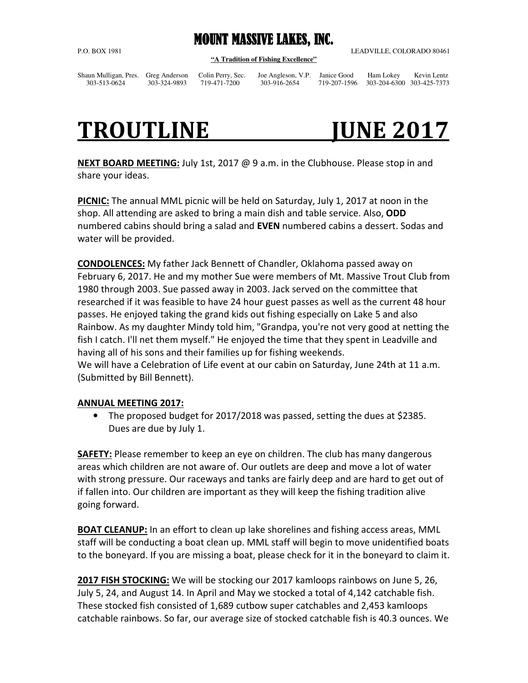## **MOUNT MASSIVE LAKES, INC.**

**"A Tradition of Fishing Excellence"** 

P.O. BOX 1981 LEADVILLE, COLORADO 80461

Shaun Mulligan, Pres. Greg Anderson Colin Perry, Sec. Joe Angleson, V.P. Janice Good Ham Lokey Kevin Lentz

303-513-0624 303-324-9893 719-471-7200 303-916-2654 719-207-1596 303-204-6300 303-425-7373

# TROUTLINE **JUNE 2017**

**NEXT BOARD MEETING:** July 1st, 2017 @ 9 a.m. in the Clubhouse. Please stop in and share your ideas.

**PICNIC:** The annual MML picnic will be held on Saturday, July 1, 2017 at noon in the shop. All attending are asked to bring a main dish and table service. Also, **ODD**  numbered cabins should bring a salad and **EVEN** numbered cabins a dessert. Sodas and water will be provided.

**CONDOLENCES:** My father Jack Bennett of Chandler, Oklahoma passed away on February 6, 2017. He and my mother Sue were members of Mt. Massive Trout Club from 1980 through 2003. Sue passed away in 2003. Jack served on the committee that researched if it was feasible to have 24 hour guest passes as well as the current 48 hour passes. He enjoyed taking the grand kids out fishing especially on Lake 5 and also Rainbow. As my daughter Mindy told him, "Grandpa, you're not very good at netting the fish I catch. I'll net them myself." He enjoyed the time that they spent in Leadville and having all of his sons and their families up for fishing weekends. We will have a Celebration of Life event at our cabin on Saturday, June 24th at 11 a.m. (Submitted by Bill Bennett).

## **ANNUAL MEETING 2017:**

• The proposed budget for 2017/2018 was passed, setting the dues at \$2385. Dues are due by July 1.

**SAFETY:** Please remember to keep an eye on children. The club has many dangerous areas which children are not aware of. Our outlets are deep and move a lot of water with strong pressure. Our raceways and tanks are fairly deep and are hard to get out of if fallen into. Our children are important as they will keep the fishing tradition alive going forward.

**BOAT CLEANUP:** In an effort to clean up lake shorelines and fishing access areas, MML staff will be conducting a boat clean up. MML staff will begin to move unidentified boats to the boneyard. If you are missing a boat, please check for it in the boneyard to claim it.

**2017 FISH STOCKING:** We will be stocking our 2017 kamloops rainbows on June 5, 26, July 5, 24, and August 14. In April and May we stocked a total of 4,142 catchable fish. These stocked fish consisted of 1,689 cutbow super catchables and 2,453 kamloops catchable rainbows. So far, our average size of stocked catchable fish is 40.3 ounces. We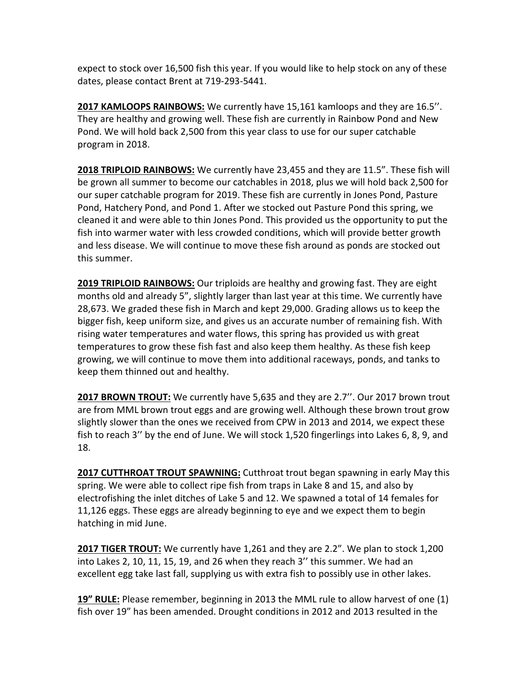expect to stock over 16,500 fish this year. If you would like to help stock on any of these dates, please contact Brent at 719-293-5441.

**2017 KAMLOOPS RAINBOWS:** We currently have 15,161 kamloops and they are 16.5''. They are healthy and growing well. These fish are currently in Rainbow Pond and New Pond. We will hold back 2,500 from this year class to use for our super catchable program in 2018.

**2018 TRIPLOID RAINBOWS:** We currently have 23,455 and they are 11.5". These fish will be grown all summer to become our catchables in 2018, plus we will hold back 2,500 for our super catchable program for 2019. These fish are currently in Jones Pond, Pasture Pond, Hatchery Pond, and Pond 1. After we stocked out Pasture Pond this spring, we cleaned it and were able to thin Jones Pond. This provided us the opportunity to put the fish into warmer water with less crowded conditions, which will provide better growth and less disease. We will continue to move these fish around as ponds are stocked out this summer.

**2019 TRIPLOID RAINBOWS:** Our triploids are healthy and growing fast. They are eight months old and already 5", slightly larger than last year at this time. We currently have 28,673. We graded these fish in March and kept 29,000. Grading allows us to keep the bigger fish, keep uniform size, and gives us an accurate number of remaining fish. With rising water temperatures and water flows, this spring has provided us with great temperatures to grow these fish fast and also keep them healthy. As these fish keep growing, we will continue to move them into additional raceways, ponds, and tanks to keep them thinned out and healthy.

**2017 BROWN TROUT:** We currently have 5,635 and they are 2.7''. Our 2017 brown trout are from MML brown trout eggs and are growing well. Although these brown trout grow slightly slower than the ones we received from CPW in 2013 and 2014, we expect these fish to reach 3'' by the end of June. We will stock 1,520 fingerlings into Lakes 6, 8, 9, and 18.

**2017 CUTTHROAT TROUT SPAWNING:** Cutthroat trout began spawning in early May this spring. We were able to collect ripe fish from traps in Lake 8 and 15, and also by electrofishing the inlet ditches of Lake 5 and 12. We spawned a total of 14 females for 11,126 eggs. These eggs are already beginning to eye and we expect them to begin hatching in mid June.

**2017 TIGER TROUT:** We currently have 1,261 and they are 2.2". We plan to stock 1,200 into Lakes 2, 10, 11, 15, 19, and 26 when they reach 3'' this summer. We had an excellent egg take last fall, supplying us with extra fish to possibly use in other lakes.

**19" RULE:** Please remember, beginning in 2013 the MML rule to allow harvest of one (1) fish over 19" has been amended. Drought conditions in 2012 and 2013 resulted in the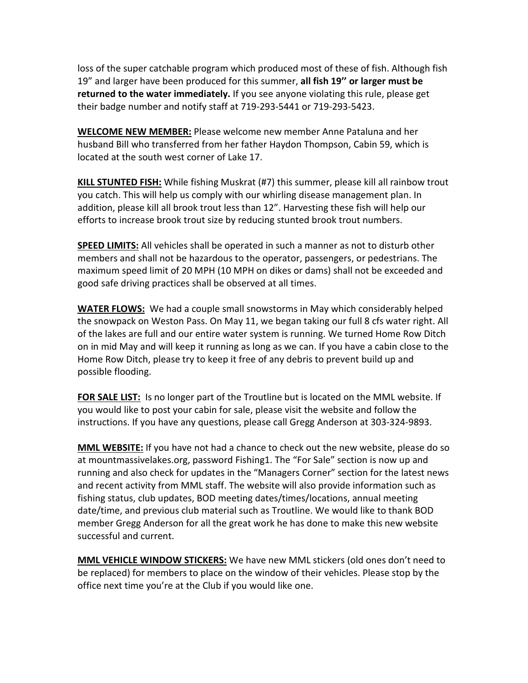loss of the super catchable program which produced most of these of fish. Although fish 19" and larger have been produced for this summer, **all fish 19'' or larger must be returned to the water immediately.** If you see anyone violating this rule, please get their badge number and notify staff at 719-293-5441 or 719-293-5423.

**WELCOME NEW MEMBER:** Please welcome new member Anne Pataluna and her husband Bill who transferred from her father Haydon Thompson, Cabin 59, which is located at the south west corner of Lake 17.

**KILL STUNTED FISH:** While fishing Muskrat (#7) this summer, please kill all rainbow trout you catch. This will help us comply with our whirling disease management plan. In addition, please kill all brook trout less than 12". Harvesting these fish will help our efforts to increase brook trout size by reducing stunted brook trout numbers.

**SPEED LIMITS:** All vehicles shall be operated in such a manner as not to disturb other members and shall not be hazardous to the operator, passengers, or pedestrians. The maximum speed limit of 20 MPH (10 MPH on dikes or dams) shall not be exceeded and good safe driving practices shall be observed at all times.

**WATER FLOWS:** We had a couple small snowstorms in May which considerably helped the snowpack on Weston Pass. On May 11, we began taking our full 8 cfs water right. All of the lakes are full and our entire water system is running. We turned Home Row Ditch on in mid May and will keep it running as long as we can. If you have a cabin close to the Home Row Ditch, please try to keep it free of any debris to prevent build up and possible flooding.

**FOR SALE LIST:** Is no longer part of the Troutline but is located on the MML website. If you would like to post your cabin for sale, please visit the website and follow the instructions. If you have any questions, please call Gregg Anderson at 303-324-9893.

**MML WEBSITE:** If you have not had a chance to check out the new website, please do so at mountmassivelakes.org, password Fishing1. The "For Sale" section is now up and running and also check for updates in the "Managers Corner" section for the latest news and recent activity from MML staff. The website will also provide information such as fishing status, club updates, BOD meeting dates/times/locations, annual meeting date/time, and previous club material such as Troutline. We would like to thank BOD member Gregg Anderson for all the great work he has done to make this new website successful and current.

**MML VEHICLE WINDOW STICKERS:** We have new MML stickers (old ones don't need to be replaced) for members to place on the window of their vehicles. Please stop by the office next time you're at the Club if you would like one.